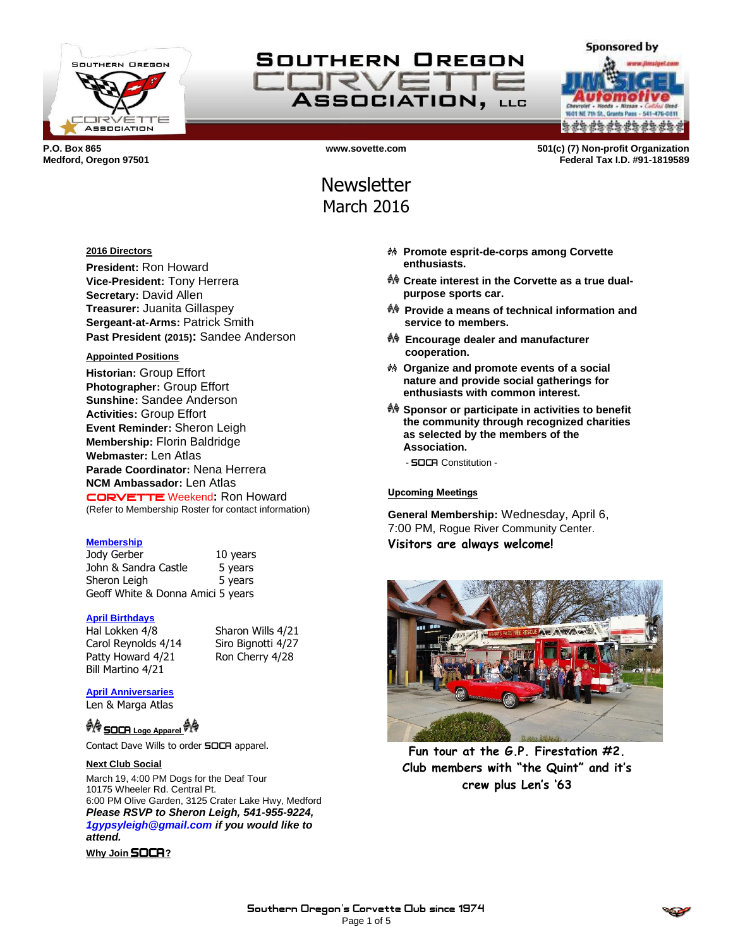

## SOUTHERN OREGON TRV **ASSOCIATION, LLG**

**a da da da da da da da** 

**Sponsored by** 

**P.O. Box 865 www.sovette.com 501(c) (7) Non-profit Organization Medford, Oregon 97501 Federal Tax I.D. #91-1819589**

# **Newsletter** March 2016

#### **2016 Directors**

**President:** Ron Howard **Vice-President:** Tony Herrera **Secretary:** David Allen **Treasurer:** Juanita Gillaspey **Sergeant-at-Arms:** Patrick Smith **Past President (2015):** Sandee Anderson

#### **Appointed Positions**

**Historian:** Group Effort **Photographer:** Group Effort **Sunshine:** Sandee Anderson **Activities:** Group Effort **Event Reminder:** Sheron Leigh **Membership:** Florin Baldridge **Webmaster:** Len Atlas **Parade Coordinator:** Nena Herrera **NCM Ambassador:** Len Atlas CORVETTE Weekend**:** Ron Howard (Refer to Membership Roster for contact information)

#### **Membership**

Jody Gerber 10 years John & Sandra Castle 5 years Sheron Leigh 5 years Geoff White & Donna Amici 5 years

#### **April Birthdays**

Hal Lokken 4/8 Sharon Wills 4/21 Carol Reynolds 4/14 Siro Bignotti 4/27 Patty Howard 4/21 Ron Cherry 4/28 Bill Martino 4/21

#### **April Anniversaries**

Len & Marga Atlas

## <sup>UO</sup> SOCA Logo Apparel <sup>60</sup>

Contact Dave Wills to order SOCA apparel.

#### **Next Club Social**

March 19, 4:00 PM Dogs for the Deaf Tour 10175 Wheeler Rd. Central Pt. 6:00 PM Olive Garden, 3125 Crater Lake Hwy, Medford *Please RSVP to Sheron Leigh, 541-955-9224, 1gypsyleigh@gmail.com if you would like to attend.*

**Why Join** SOCA**?**

- **Promote esprit-de-corps among Corvette enthusiasts.**
- **Create interest in the Corvette as a true dualpurpose sports car.**
- **Provide a means of technical information and service to members.**
- **Encourage dealer and manufacturer cooperation.**
- **Organize and promote events of a social nature and provide social gatherings for enthusiasts with common interest.**
- **Sponsor or participate in activities to benefit the community through recognized charities as selected by the members of the Association.**

- SOCA Constitution -

#### **Upcoming Meetings**

**General Membership:** Wednesday, April 6, 7:00 PM, Rogue River Community Center. **Visitors are always welcome!**



**Fun tour at the G.P. Firestation #2. Club members with "the Quint" and it's crew plus Len's '63**

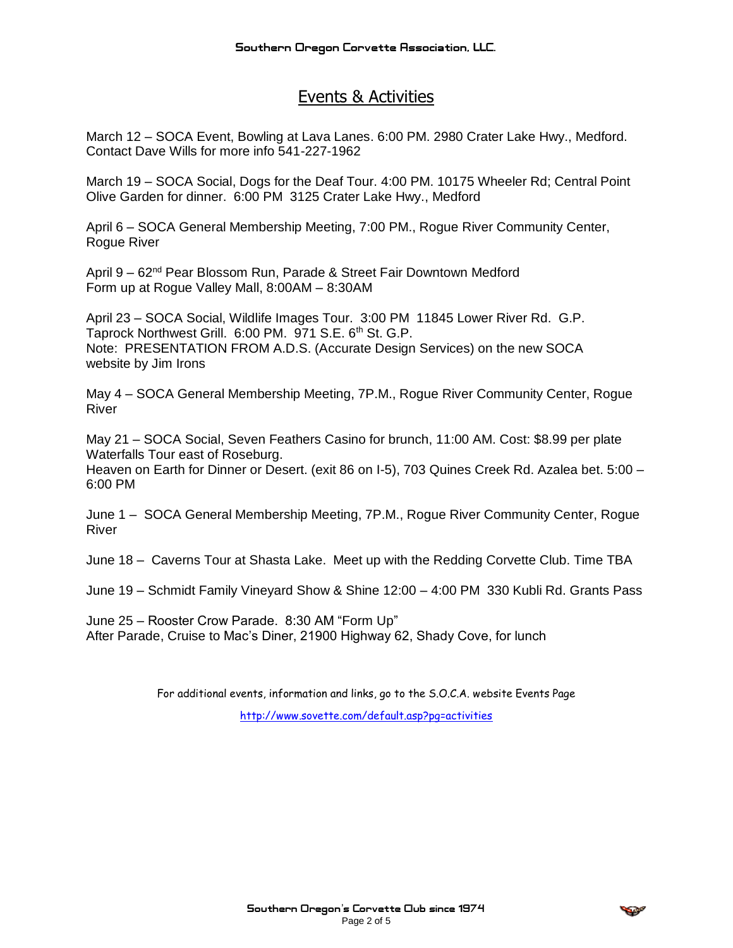### Events & Activities

March 12 – SOCA Event, Bowling at Lava Lanes. 6:00 PM. 2980 Crater Lake Hwy., Medford. Contact Dave Wills for more info 541-227-1962

March 19 – SOCA Social, Dogs for the Deaf Tour. 4:00 PM. 10175 Wheeler Rd; Central Point Olive Garden for dinner. 6:00 PM 3125 Crater Lake Hwy., Medford

April 6 – SOCA General Membership Meeting, 7:00 PM., Rogue River Community Center, Rogue River

April 9 – 62<sup>nd</sup> Pear Blossom Run, Parade & Street Fair Downtown Medford Form up at Rogue Valley Mall, 8:00AM – 8:30AM

April 23 – SOCA Social, Wildlife Images Tour. 3:00 PM 11845 Lower River Rd. G.P. Taprock Northwest Grill. 6:00 PM. 971 S.E. 6<sup>th</sup> St. G.P. Note: PRESENTATION FROM A.D.S. (Accurate Design Services) on the new SOCA website by Jim Irons

May 4 – SOCA General Membership Meeting, 7P.M., Rogue River Community Center, Rogue River

May 21 – SOCA Social, Seven Feathers Casino for brunch, 11:00 AM. Cost: \$8.99 per plate Waterfalls Tour east of Roseburg. Heaven on Earth for Dinner or Desert. (exit 86 on I-5), 703 Quines Creek Rd. Azalea bet. 5:00 – 6:00 PM

June 1 – SOCA General Membership Meeting, 7P.M., Rogue River Community Center, Rogue River

June 18 – Caverns Tour at Shasta Lake. Meet up with the Redding Corvette Club. Time TBA

June 19 – Schmidt Family Vineyard Show & Shine 12:00 – 4:00 PM 330 Kubli Rd. Grants Pass

June 25 – Rooster Crow Parade. 8:30 AM "Form Up" After Parade, Cruise to Mac's Diner, 21900 Highway 62, Shady Cove, for lunch

> For additional events, information and links, go to the S.O.C.A. website Events Page <http://www.sovette.com/default.asp?pg=activities>

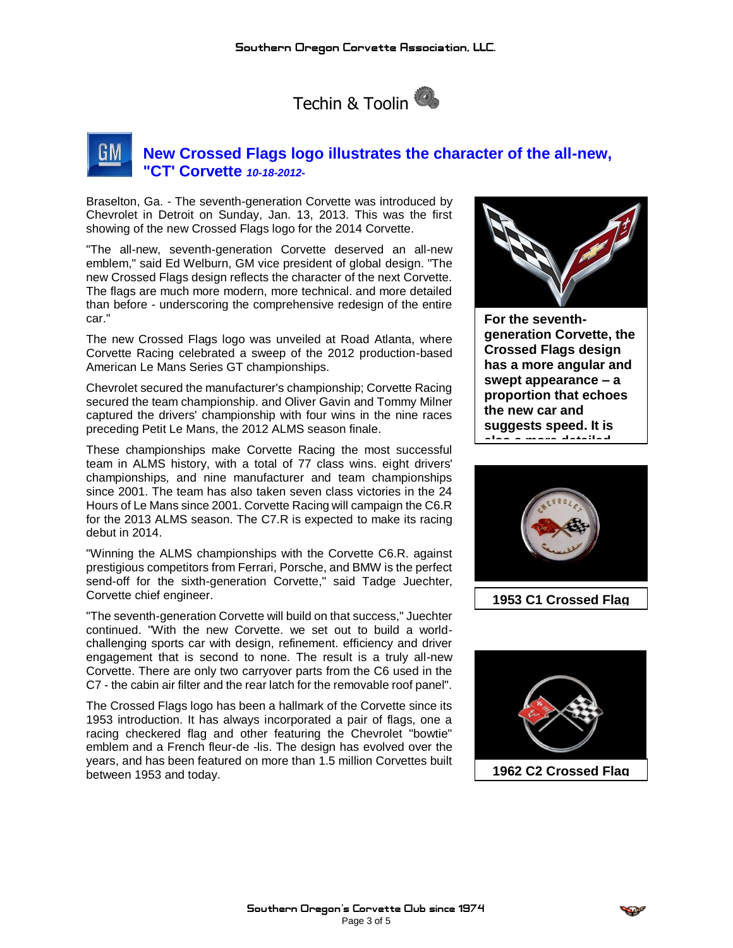

### **New Crossed Flags logo illustrates the character of the all-new, "CT' Corvette** *10-18-2012-*

Braselton, Ga. - The seventh-generation Corvette was introduced by Chevrolet in Detroit on Sunday, Jan. 13, 2013. This was the first showing of the new Crossed Flags logo for the 2014 Corvette.

"The all-new, seventh-generation Corvette deserved an all-new emblem," said Ed Welburn, GM vice president of global design. "The new Crossed Flags design reflects the character of the next Corvette. The flags are much more modern, more technical. and more detailed than before - underscoring the comprehensive redesign of the entire car."

The new Crossed Flags logo was unveiled at Road Atlanta, where Corvette Racing celebrated a sweep of the 2012 production-based American Le Mans Series GT championships.

Chevrolet secured the manufacturer's championship; Corvette Racing secured the team championship. and Oliver Gavin and Tommy Milner captured the drivers' championship with four wins in the nine races preceding Petit Le Mans, the 2012 ALMS season finale.

These championships make Corvette Racing the most successful team in ALMS history, with a total of 77 class wins. eight drivers' championships, and nine manufacturer and team championships since 2001. The team has also taken seven class victories in the 24 Hours of Le Mans since 2001. Corvette Racing will campaign the C6.R for the 2013 ALMS season. The C7.R is expected to make its racing debut in 2014.

"Winning the ALMS championships with the Corvette C6.R. against prestigious competitors from Ferrari, Porsche, and BMW is the perfect send-off for the sixth-generation Corvette," said Tadge Juechter, Corvette chief engineer.

"The seventh-generation Corvette will build on that success," Juechter continued. "With the new Corvette. we set out to build a worldchallenging sports car with design, refinement. efficiency and driver engagement that is second to none. The result is a truly all-new Corvette. There are only two carryover parts from the C6 used in the C7 - the cabin air filter and the rear latch for the removable roof panel".

The Crossed Flags logo has been a hallmark of the Corvette since its 1953 introduction. It has always incorporated a pair of flags, one a racing checkered flag and other featuring the Chevrolet "bowtie" emblem and a French fleur-de -lis. The design has evolved over the years, and has been featured on more than 1.5 million Corvettes built between 1953 and today.



**For the seventhgeneration Corvette, the Crossed Flags design has a more angular and swept appearance – a proportion that echoes the new car and suggests speed. It is also a more detailed** 



**1953 C1 Crossed Flag**